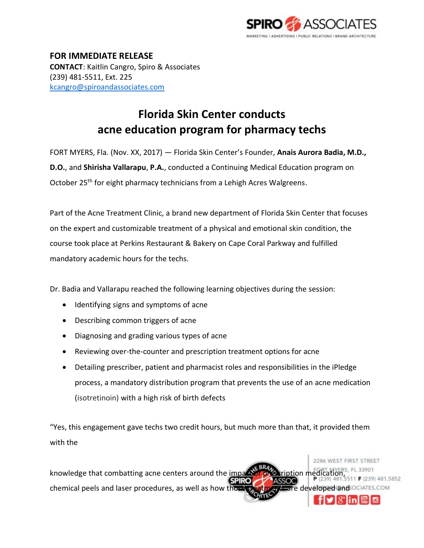

2286 WEST FIRST STREET

**FOR IMMEDIATE RELEASE CONTACT**: Kaitlin Cangro, Spiro & Associates (239) 481-5511, Ext. 225 [kcangro@spiroandassociates.com](mailto:kcangro@spiroandassociates.com)

## **Florida Skin Center conducts acne education program for pharmacy techs**

FORT MYERS, Fla. (Nov. XX, 2017) — Florida Skin Center's Founder, **Anais Aurora Badia, M.D., D.O.**, and **Shirisha Vallarapu**, **P.A.**, conducted a Continuing Medical Education program on October 25<sup>th</sup> for eight pharmacy technicians from a Lehigh Acres Walgreens.

Part of the Acne Treatment Clinic, a brand new department of Florida Skin Center that focuses on the expert and customizable treatment of a physical and emotional skin condition, the course took place at Perkins Restaurant & Bakery on Cape Coral Parkway and fulfilled mandatory academic hours for the techs.

Dr. Badia and Vallarapu reached the following learning objectives during the session:

- Identifying signs and symptoms of acne
- Describing common triggers of acne
- Diagnosing and grading various types of acne
- Reviewing over-the-counter and prescription treatment options for acne
- Detailing prescriber, patient and pharmacist roles and responsibilities in the iPledge process, a mandatory distribution program that prevents the use of an acne medication (isotretinoin) with a high risk of birth defects

"Yes, this engagement gave techs two credit hours, but much more than that, it provided them with the

knowledge that combatting acne centers around the impart of prescription medication, 511 F (239) 481.5852 **SPIRO** chemical peels and laser procedures, as well as how those treatments are developed and OCIATES.COM